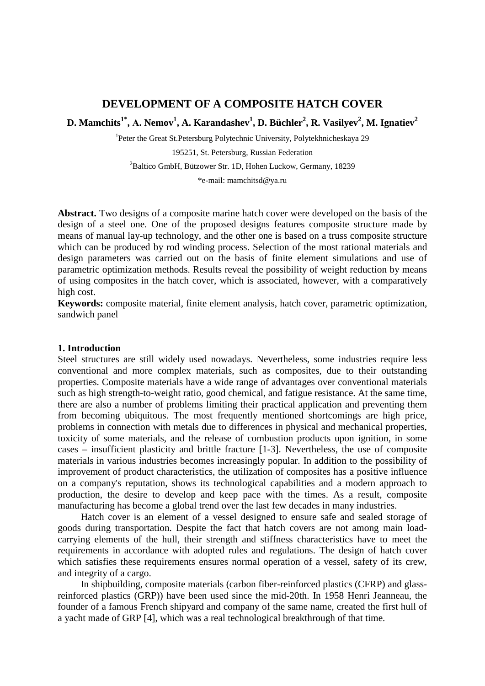# **DEVELOPMENT OF A COMPOSITE HATCH COVER**

 ${\bf D}.$  Mamchits<sup>1\*</sup>,  ${\bf A}.$  Nemov<sup>1</sup>,  ${\bf A}.$  Karandashev<sup>1</sup>,  ${\bf D}.$  Büchler<sup>2</sup>,  ${\bf R}.$  Vasilyev<sup>2</sup>,  ${\bf M}.$  Ignatiev $^2$ 

<sup>1</sup>Peter the Great St.Petersburg Polytechnic University, Polytekhnicheskaya 29 195251, St. Petersburg, Russian Federation

2 Baltico GmbH, Bützower Str. 1D, Hohen Luckow, Germany, 18239

\*e-mail: mamchitsd@ya.ru

**Abstract.** Two designs of a composite marine hatch cover were developed on the basis of the design of a steel one. One of the proposed designs features composite structure made by means of manual lay-up technology, and the other one is based on a truss composite structure which can be produced by rod winding process. Selection of the most rational materials and design parameters was carried out on the basis of finite element simulations and use of parametric optimization methods. Results reveal the possibility of weight reduction by means of using composites in the hatch cover, which is associated, however, with a comparatively high cost.

**Keywords:** composite material, finite element analysis, hatch cover, parametric optimization, sandwich panel

### **1. Introduction**

Steel structures are still widely used nowadays. Nevertheless, some industries require less conventional and more complex materials, such as composites, due to their outstanding properties. Composite materials have a wide range of advantages over conventional materials such as high strength-to-weight ratio, good chemical, and fatigue resistance. At the same time, there are also a number of problems limiting their practical application and preventing them from becoming ubiquitous. The most frequently mentioned shortcomings are high price, problems in connection with metals due to differences in physical and mechanical properties, toxicity of some materials, and the release of combustion products upon ignition, in some cases – insufficient plasticity and brittle fracture [1-3]. Nevertheless, the use of composite materials in various industries becomes increasingly popular. In addition to the possibility of improvement of product characteristics, the utilization of composites has a positive influence on a company's reputation, shows its technological capabilities and a modern approach to production, the desire to develop and keep pace with the times. As a result, composite manufacturing has become a global trend over the last few decades in many industries.

Hatch cover is an element of a vessel designed to ensure safe and sealed storage of goods during transportation. Despite the fact that hatch covers are not among main loadcarrying elements of the hull, their strength and stiffness characteristics have to meet the requirements in accordance with adopted rules and regulations. The design of hatch cover which satisfies these requirements ensures normal operation of a vessel, safety of its crew, and integrity of a cargo.

In shipbuilding, composite materials (carbon fiber-reinforced plastics (CFRP) and glassreinforced plastics (GRP)) have been used since the mid-20th. In 1958 Henri Jeanneau, the founder of a famous French shipyard and company of the same name, created the first hull of a yacht made of GRP [\[4\]](#page-10-0), which was a real technological breakthrough of that time.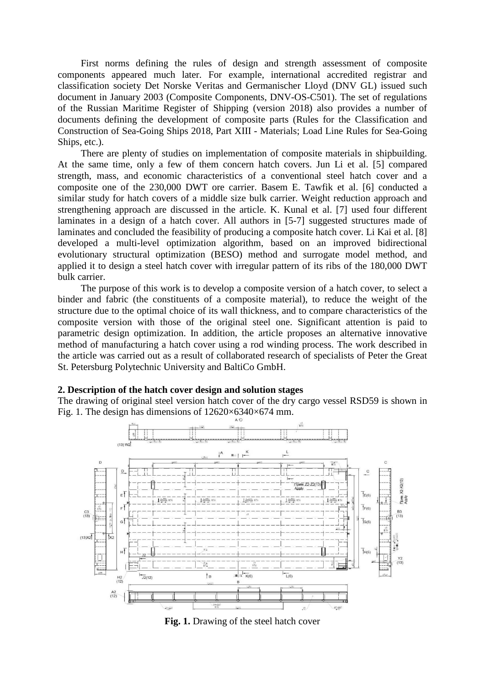First norms defining the rules of design and strength assessment of composite components appeared much later. For example, international accredited registrar and classification society Det Norske Veritas and Germanischer Lloyd (DNV GL) issued such document in January 2003 (Composite Components, DNV-OS-C501). The set of regulations of the Russian Maritime Register of Shipping (version 2018) also provides a number of documents defining the development of composite parts (Rules for the Classification and Construction of Sea-Going Ships 2018, Part XIII - Materials; Load Line Rules for Sea-Going Ships, etc.).

There are plenty of studies on implementation of composite materials in shipbuilding. At the same time, only a few of them concern hatch covers. Jun Li et al. [\[5\]](#page-10-1) compared strength, mass, and economic characteristics of a conventional steel hatch cover and a composite one of the 230,000 DWT ore carrier. Basem E. Tawfik et al. [\[6\]](#page-10-2) conducted a similar study for hatch covers of a middle size bulk carrier. Weight reduction approach and strengthening approach are discussed in the article. K. Kunal et al. [\[7\]](#page-10-3) used four different laminates in a design of a hatch cover. All authors in [5-7] suggested structures made of laminates and concluded the feasibility of producing a composite hatch cover. Li Kai et al. [\[8\]](#page-10-4) developed a multi-level optimization algorithm, based on an improved bidirectional evolutionary structural optimization (BESO) method and surrogate model method, and applied it to design a steel hatch cover with irregular pattern of its ribs of the 180,000 DWT bulk carrier.

The purpose of this work is to develop a composite version of a hatch cover, to select a binder and fabric (the constituents of a composite material), to reduce the weight of the structure due to the optimal choice of its wall thickness, and to compare characteristics of the composite version with those of the original steel one. Significant attention is paid to parametric design optimization. In addition, the article proposes an alternative innovative method of manufacturing a hatch cover using a rod winding process. The work described in the article was carried out as a result of collaborated research of specialists of Peter the Great St. Petersburg Polytechnic University and BaltiCo GmbH.

## **2. Description of the hatch cover design and solution stages**

The drawing of original steel version hatch cover of the dry cargo vessel RSD59 is shown in Fig. 1. The design has dimensions of  $12620\times6340\times674$  mm.



**Fig. 1.** Drawing of the steel hatch cover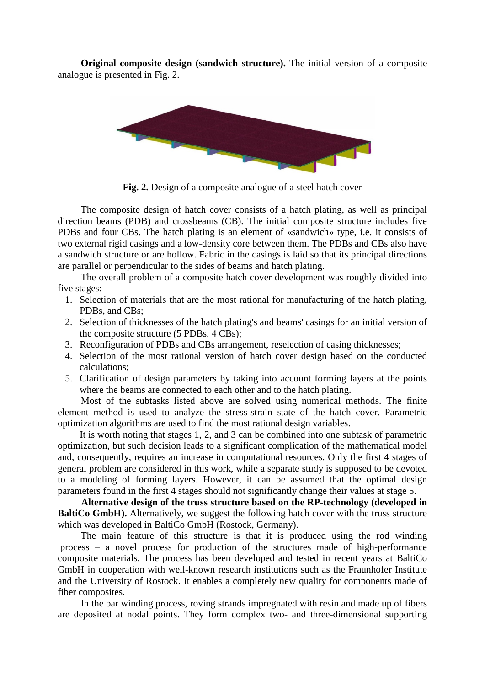**Original composite design (sandwich structure).** The initial version of a composite analogue is presented in Fig. 2.



Fig. 2. Design of a composite analogue of a steel hatch cover

The composite design of hatch cover consists of a hatch plating, as well as principal direction beams (PDB) and crossbeams (CB). The initial composite structure includes five PDBs and four CBs. The hatch plating is an element of «sandwich» type, i.e. it consists of two external rigid casings and a low-density core between them. The PDBs and CBs also have a sandwich structure or are hollow. Fabric in the casings is laid so that its principal directions are parallel or perpendicular to the sides of beams and hatch plating.

The overall problem of a composite hatch cover development was roughly divided into five stages:

- 1. Selection of materials that are the most rational for manufacturing of the hatch plating, PDBs, and CBs;
- 2. Selection of thicknesses of the hatch plating's and beams' casings for an initial version of the composite structure (5 PDBs, 4 CBs);
- 3. Reconfiguration of PDBs and CBs arrangement, reselection of casing thicknesses;
- 4. Selection of the most rational version of hatch cover design based on the conducted calculations;
- 5. Clarification of design parameters by taking into account forming layers at the points where the beams are connected to each other and to the hatch plating.

Most of the subtasks listed above are solved using numerical methods. The finite element method is used to analyze the stress-strain state of the hatch cover. Parametric optimization algorithms are used to find the most rational design variables.

It is worth noting that stages 1, 2, and 3 can be combined into one subtask of parametric optimization, but such decision leads to a significant complication of the mathematical model and, consequently, requires an increase in computational resources. Only the first 4 stages of general problem are considered in this work, while a separate study is supposed to be devoted to a modeling of forming layers. However, it can be assumed that the optimal design parameters found in the first 4 stages should not significantly change their values at stage 5.

**Alternative design of the truss structure based on the RP-technology (developed in BaltiCo GmbH).** Alternatively, we suggest the following hatch cover with the truss structure which was developed in BaltiCo GmbH (Rostock, Germany).

The main feature of this structure is that it is produced using the rod winding process – a novel process for production of the structures made of high-performance composite materials. The process has been developed and tested in recent years at BaltiCo GmbH in cooperation with well-known research institutions such as the Fraunhofer Institute and the University of Rostock. It enables a completely new quality for components made of fiber composites.

In the bar winding process, roving strands impregnated with resin and made up of fibers are deposited at nodal points. They form complex two- and three-dimensional supporting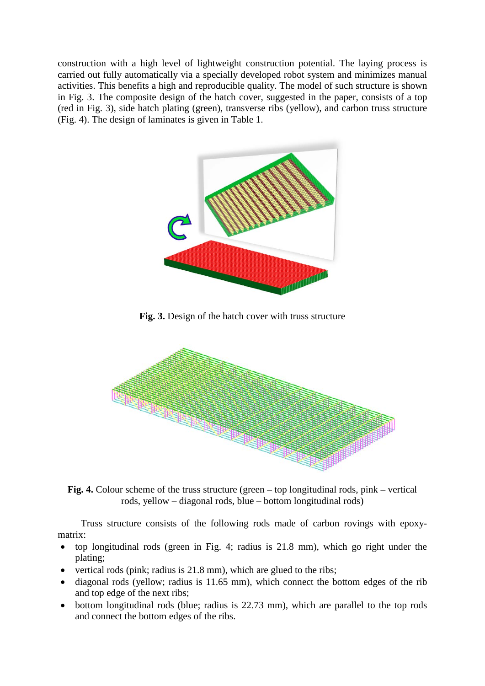construction with a high level of lightweight construction potential. The laying process is carried out fully automatically via a specially developed robot system and minimizes manual activities. This benefits a high and reproducible quality. The model of such structure is shown in Fig. 3. The composite design of the hatch cover, suggested in the paper, consists of a top (red in Fig. 3), side hatch plating (green), transverse ribs (yellow), and carbon truss structure (Fig. 4). The design of laminates is given in Table 1.



**Fig. 3.** Design of the hatch cover with truss structure



**Fig. 4.** Colour scheme of the truss structure (green – top longitudinal rods, pink – vertical rods, yellow – diagonal rods, blue – bottom longitudinal rods)

Truss structure consists of the following rods made of carbon rovings with epoxymatrix:

- top longitudinal rods (green in Fig. 4; radius is 21.8 mm), which go right under the plating;
- vertical rods (pink; radius is 21.8 mm), which are glued to the ribs;
- diagonal rods (yellow; radius is 11.65 mm), which connect the bottom edges of the rib and top edge of the next ribs;
- bottom longitudinal rods (blue; radius is 22.73 mm), which are parallel to the top rods and connect the bottom edges of the ribs.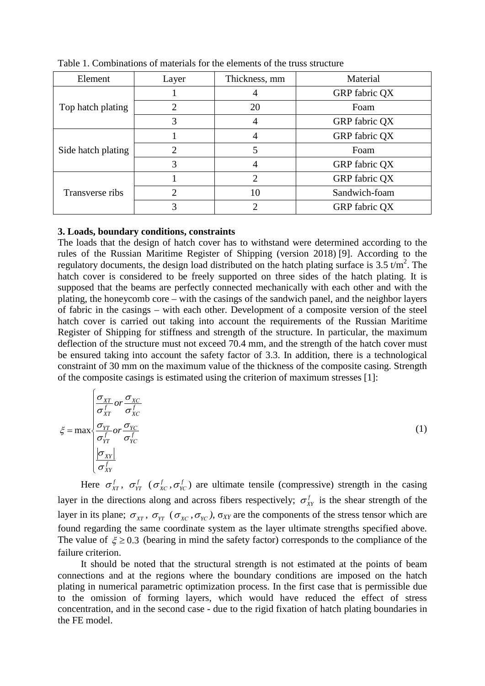| Element            | Layer | Thickness, mm | Material      |
|--------------------|-------|---------------|---------------|
|                    |       |               | GRP fabric QX |
| Top hatch plating  |       | 20            | Foam          |
|                    | 3     |               | GRP fabric QX |
| Side hatch plating |       |               | GRP fabric QX |
|                    |       |               | Foam          |
|                    |       |               | GRP fabric QX |
| Transverse ribs    |       | 2             | GRP fabric QX |
|                    |       | 10            | Sandwich-foam |
|                    |       |               | GRP fabric QX |

Table 1. Combinations of materials for the elements of the truss structure

### **3. Loads, boundary conditions, constraints**

The loads that the design of hatch cover has to withstand were determined according to the rules of the Russian Maritime Register of Shipping (version 2018) [\[9\]](#page-10-5). According to the regulatory documents, the design load distributed on the hatch plating surface is 3.5  $t/m^2$ . The hatch cover is considered to be freely supported on three sides of the hatch plating. It is supposed that the beams are perfectly connected mechanically with each other and with the plating, the honeycomb core – with the casings of the sandwich panel, and the neighbor layers of fabric in the casings – with each other. Development of a composite version of the steel hatch cover is carried out taking into account the requirements of the Russian Maritime Register of Shipping for stiffness and strength of the structure. In particular, the maximum deflection of the structure must not exceed 70.4 mm, and the strength of the hatch cover must be ensured taking into account the safety factor of 3.3. In addition, there is a technological constraint of 30 mm on the maximum value of the thickness of the composite casing. Strength of the composite casings is estimated using the criterion of maximum stresses [1]:

$$
\xi = \max \begin{cases}\n\frac{\sigma_{XT}}{\sigma_{XT}^f} or \frac{\sigma_{XC}}{\sigma_{XC}^f} \\
\frac{\sigma_{YT}}{\sigma_{YT}^f} or \frac{\sigma_{YC}}{\sigma_{YC}^f} \\
\frac{|\sigma_{XY}|}{\sigma_{XY}^f}\n\end{cases}
$$
\n(1)

Here  $\sigma_{XT}^f$ ,  $\sigma_{YT}^f$  ( $\sigma_{XC}^f$ ,  $\sigma_{YC}^f$ ) are ultimate tensile (compressive) strength in the casing layer in the directions along and across fibers respectively;  $\sigma_{XY}^f$  is the shear strength of the layer in its plane;  $\sigma_{XT}$ ,  $\sigma_{YT}$  ( $\sigma_{XC}$ ,  $\sigma_{YC}$ ),  $\sigma_{XY}$  are the components of the stress tensor which are found regarding the same coordinate system as the layer ultimate strengths specified above. The value of  $\xi \ge 0.3$  (bearing in mind the safety factor) corresponds to the compliance of the failure criterion.

It should be noted that the structural strength is not estimated at the points of beam connections and at the regions where the boundary conditions are imposed on the hatch plating in numerical parametric optimization process. In the first case that is permissible due to the omission of forming layers, which would have reduced the effect of stress concentration, and in the second case - due to the rigid fixation of hatch plating boundaries in the FE model.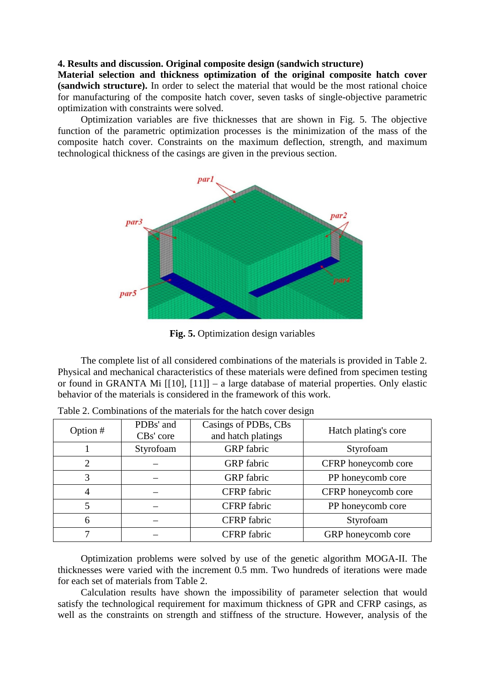### **4. Results and discussion. Original composite design (sandwich structure)**

**Material selection and thickness optimization of the original composite hatch cover (sandwich structure).** In order to select the material that would be the most rational choice for manufacturing of the composite hatch cover, seven tasks of single-objective parametric optimization with constraints were solved.

Optimization variables are five thicknesses that are shown in Fig. 5. The objective function of the parametric optimization processes is the minimization of the mass of the composite hatch cover. Constraints on the maximum deflection, strength, and maximum technological thickness of the casings are given in the previous section.



**Fig. 5.** Optimization design variables

The complete list of all considered combinations of the materials is provided in Table 2. Physical and mechanical characteristics of these materials were defined from specimen testing or found in GRANTA Mi [\[\[10\]](#page-10-6), [\[11\]](#page-10-7)] – a large database of material properties. Only elastic behavior of the materials is considered in the framework of this work.

| Option # | PDBs' and<br>CBs' core | Casings of PDBs, CBs<br>and hatch platings | Hatch plating's core |  |
|----------|------------------------|--------------------------------------------|----------------------|--|
|          | Styrofoam              | <b>GRP</b> fabric                          | Styrofoam            |  |
| 2        |                        | <b>GRP</b> fabric                          | CFRP honeycomb core  |  |
| 3        |                        | <b>GRP</b> fabric                          | PP honeycomb core    |  |
| 4        |                        | CFRP fabric                                | CFRP honeycomb core  |  |
|          |                        | <b>CFRP</b> fabric                         | PP honeycomb core    |  |
| 6        |                        | CFRP fabric                                | Styrofoam            |  |
|          |                        | CFRP fabric                                | GRP honeycomb core   |  |

| Table 2. Combinations of the materials for the hatch cover design |  |  |  |
|-------------------------------------------------------------------|--|--|--|
|                                                                   |  |  |  |

Optimization problems were solved by use of the genetic algorithm MOGA-II. The thicknesses were varied with the increment 0.5 mm. Two hundreds of iterations were made for each set of materials from Table 2.

Calculation results have shown the impossibility of parameter selection that would satisfy the technological requirement for maximum thickness of GPR and CFRP casings, as well as the constraints on strength and stiffness of the structure. However, analysis of the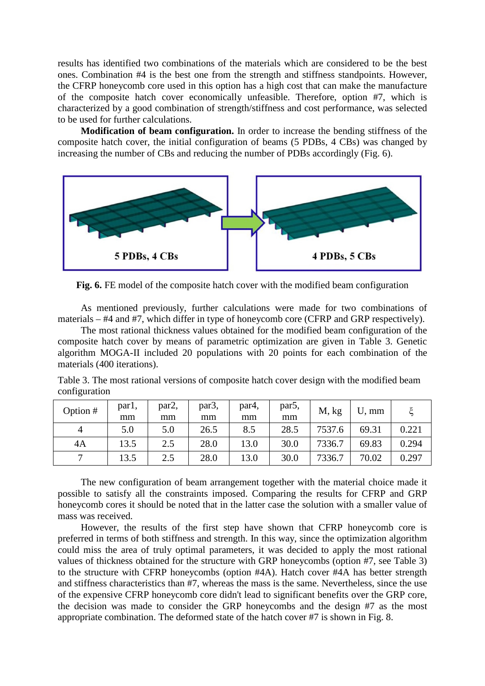results has identified two combinations of the materials which are considered to be the best ones. Combination #4 is the best one from the strength and stiffness standpoints. However, the CFRP honeycomb core used in this option has a high cost that can make the manufacture of the composite hatch cover economically unfeasible. Therefore, option #7, which is characterized by a good combination of strength/stiffness and cost performance, was selected to be used for further calculations.

**Modification of beam configuration.** In order to increase the bending stiffness of the composite hatch cover, the initial configuration of beams (5 PDBs, 4 CBs) was changed by increasing the number of CBs and reducing the number of PDBs accordingly (Fig. 6).



**Fig. 6.** FE model of the composite hatch cover with the modified beam configuration

As mentioned previously, further calculations were made for two combinations of materials – #4 and #7, which differ in type of honeycomb core (CFRP and GRP respectively).

The most rational thickness values obtained for the modified beam configuration of the composite hatch cover by means of parametric optimization are given in Table 3. Genetic algorithm MOGA-II included 20 populations with 20 points for each combination of the materials (400 iterations).

Table 3. The most rational versions of composite hatch cover design with the modified beam configuration

| Option # | par <sub>1</sub> ,<br>mm | par <sub>2</sub> ,<br>mm | par <sub>3</sub> ,<br>mm | par4,<br>mm | par <sub>5</sub> ,<br>mm | M, kg  | $U, \, \text{mm}$ |       |
|----------|--------------------------|--------------------------|--------------------------|-------------|--------------------------|--------|-------------------|-------|
|          | 5.0                      | 5.0                      | 26.5                     | 8.5         | 28.5                     | 7537.6 | 69.31             | 0.221 |
| 4A       | 13.5                     | 2.5                      | 28.0                     | 13.0        | 30.0                     | 7336.7 | 69.83             | 0.294 |
|          | 13.5                     | 2.5                      | 28.0                     | 13.0        | 30.0                     | 7336.7 | 70.02             | 0.297 |

The new configuration of beam arrangement together with the material choice made it possible to satisfy all the constraints imposed. Comparing the results for CFRP and GRP honeycomb cores it should be noted that in the latter case the solution with a smaller value of mass was received.

However, the results of the first step have shown that CFRP honeycomb core is preferred in terms of both stiffness and strength. In this way, since the optimization algorithm could miss the area of truly optimal parameters, it was decided to apply the most rational values of thickness obtained for the structure with GRP honeycombs (option #7, see Table 3) to the structure with CFRP honeycombs (option #4A). Hatch cover #4A has better strength and stiffness characteristics than #7, whereas the mass is the same. Nevertheless, since the use of the expensive CFRP honeycomb core didn't lead to significant benefits over the GRP core, the decision was made to consider the GRP honeycombs and the design #7 as the most appropriate combination. The deformed state of the hatch cover #7 is shown in Fig. 8.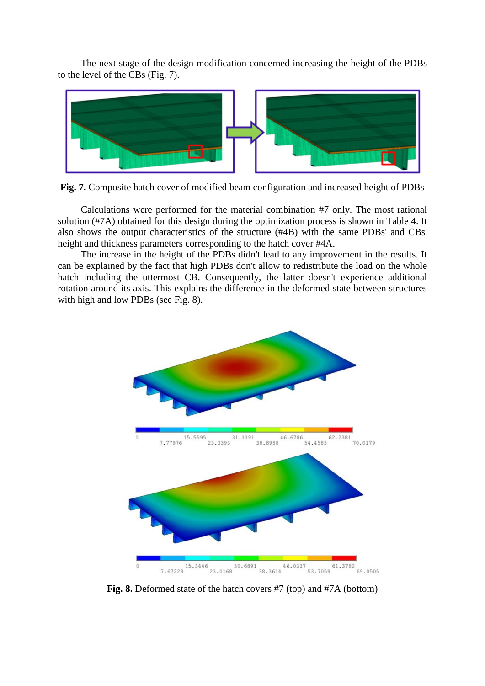The next stage of the design modification concerned increasing the height of the PDBs to the level of the CBs (Fig. 7).



**Fig. 7.** Composite hatch cover of modified beam configuration and increased height of PDBs

Calculations were performed for the material combination #7 only. The most rational solution (#7A) obtained for this design during the optimization process is shown in Table 4. It also shows the output characteristics of the structure (#4B) with the same PDBs' and CBs' height and thickness parameters corresponding to the hatch cover #4A.

The increase in the height of the PDBs didn't lead to any improvement in the results. It can be explained by the fact that high PDBs don't allow to redistribute the load on the whole hatch including the uttermost CB. Consequently, the latter doesn't experience additional rotation around its axis. This explains the difference in the deformed state between structures with high and low PDBs (see Fig. 8).



**Fig. 8.** Deformed state of the hatch covers #7 (top) and #7A (bottom)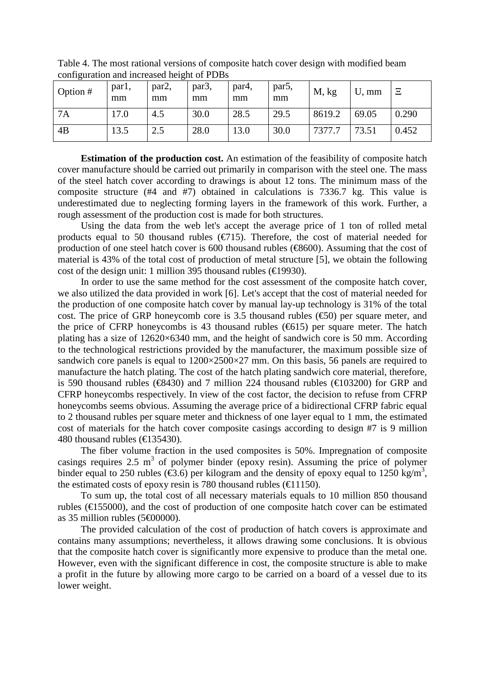| Option # | parl,<br>mm | par2,<br>mm | par3,<br>mm | par <sub>4</sub> ,<br>mm | par <sub>5</sub> ,<br>mm | M, kg  | $U, \, \text{mm}$ | Ξ     |
|----------|-------------|-------------|-------------|--------------------------|--------------------------|--------|-------------------|-------|
| 7A       | 17.0        | 4.5         | 30.0        | 28.5                     | 29.5                     | 8619.2 | 69.05             | 0.290 |
| 4B       | 13.5        | 2.5         | 28.0        | 13.0                     | 30.0                     | 7377.7 | 73.51             | 0.452 |

Table 4. The most rational versions of composite hatch cover design with modified beam configuration and increased height of PDBs

**Estimation of the production cost.** An estimation of the feasibility of composite hatch cover manufacture should be carried out primarily in comparison with the steel one. The mass of the steel hatch cover according to drawings is about 12 tons. The minimum mass of the composite structure (#4 and #7) obtained in calculations is 7336.7 kg. This value is underestimated due to neglecting forming layers in the framework of this work. Further, a rough assessment of the production cost is made for both structures.

Using the data from the web let's accept the average price of 1 ton of rolled metal products equal to 50 thousand rubles  $(\text{\textcircled{f}}15)$ . Therefore, the cost of material needed for production of one steel hatch cover is 600 thousand rubles ( $\text{\textcircled{\textbf{8}}}600$ ). Assuming that the cost of material is 43% of the total cost of production of metal structure [\[5\]](#page-10-1), we obtain the following cost of the design unit: 1 million 395 thousand rubles ( $\in$ 19930).

In order to use the same method for the cost assessment of the composite hatch cover, we also utilized the data provided in work [\[6\]](#page-10-2). Let's accept that the cost of material needed for the production of one composite hatch cover by manual lay-up technology is 31% of the total cost. The price of GRP honeycomb core is 3.5 thousand rubles  $(\text{\textcircled{}}50)$  per square meter, and the price of CFRP honeycombs is 43 thousand rubles ( $\bigoplus$ 15) per square meter. The hatch plating has a size of 12620×6340 mm, and the height of sandwich core is 50 mm. According to the technological restrictions provided by the manufacturer, the maximum possible size of sandwich core panels is equal to  $1200\times2500\times27$  mm. On this basis, 56 panels are required to manufacture the hatch plating. The cost of the hatch plating sandwich core material, therefore, is 590 thousand rubles ( $\bigoplus$ 430) and 7 million 224 thousand rubles ( $\bigoplus$ 03200) for GRP and CFRP honeycombs respectively. In view of the cost factor, the decision to refuse from CFRP honeycombs seems obvious. Assuming the average price of a bidirectional CFRP fabric equal to 2 thousand rubles per square meter and thickness of one layer equal to 1 mm, the estimated cost of materials for the hatch cover composite casings according to design #7 is 9 million 480 thousand rubles ( $\text{ } \in \text{ } 35430$ ).

The fiber volume fraction in the used composites is 50%. Impregnation of composite casings requires 2.5  $m<sup>3</sup>$  of polymer binder (epoxy resin). Assuming the price of polymer binder equal to 250 rubles ( $\epsilon$ 3.6) per kilogram and the density of epoxy equal to 1250 kg/m<sup>3</sup>, the estimated costs of epoxy resin is 780 thousand rubles ( $\bigoplus$  1150).

To sum up, the total cost of all necessary materials equals to 10 million 850 thousand rubles (€155000), and the cost of production of one composite hatch cover can be estimated as 35 million rubles (5€00000).

The provided calculation of the cost of production of hatch covers is approximate and contains many assumptions; nevertheless, it allows drawing some conclusions. It is obvious that the composite hatch cover is significantly more expensive to produce than the metal one. However, even with the significant difference in cost, the composite structure is able to make a profit in the future by allowing more cargo to be carried on a board of a vessel due to its lower weight.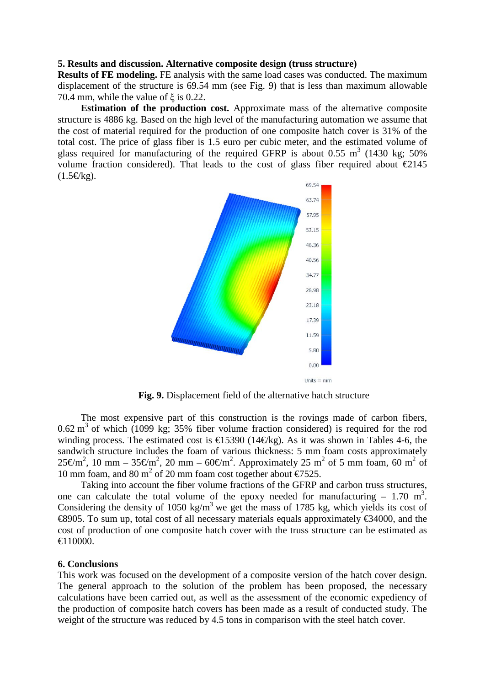#### **5. Results and discussion. Alternative composite design (truss structure)**

**Results of FE modeling.** FE analysis with the same load cases was conducted. The maximum displacement of the structure is 69.54 mm (see Fig. 9) that is less than maximum allowable 70.4 mm, while the value of  $\zeta$  is 0.22.

**Estimation of the production cost.** Approximate mass of the alternative composite structure is 4886 kg. Based on the high level of the manufacturing automation we assume that the cost of material required for the production of one composite hatch cover is 31% of the total cost. The price of glass fiber is 1.5 euro per cubic meter, and the estimated volume of glass required for manufacturing of the required GFRP is about 0.55  $m<sup>3</sup>$  (1430 kg; 50%) volume fraction considered). That leads to the cost of glass fiber required about  $\epsilon$ 2145  $(1.5 \in \mathbb{R})$ .



**Fig. 9.** Displacement field of the alternative hatch structure

The most expensive part of this construction is the rovings made of carbon fibers,  $0.62 \text{ m}^3$  of which (1099 kg; 35% fiber volume fraction considered) is required for the rod winding process. The estimated cost is  $\bigoplus$  5390 (14€kg). As it was shown in Tables 4-6, the sandwich structure includes the foam of various thickness: 5 mm foam costs approximately 25 €m<sup>2</sup>, 10 mm – 35 €m<sup>2</sup>, 20 mm – 60 €m<sup>2</sup>. Approximately 25 m<sup>2</sup> of 5 mm foam, 60 m<sup>2</sup> of 10 mm foam, and 80 m<sup>2</sup> of 20 mm foam cost together about  $\epsilon$ 7525.

Taking into account the fiber volume fractions of the GFRP and carbon truss structures, one can calculate the total volume of the epoxy needed for manufacturing  $-1.70 \text{ m}^3$ . Considering the density of 1050 kg/m<sup>3</sup> we get the mass of 1785 kg, which yields its cost of €8905. To sum up, total cost of all necessary materials equals approximately €34000, and the cost of production of one composite hatch cover with the truss structure can be estimated as  $\bigoplus$  10000.

#### **6. Conclusions**

This work was focused on the development of a composite version of the hatch cover design. The general approach to the solution of the problem has been proposed, the necessary calculations have been carried out, as well as the assessment of the economic expediency of the production of composite hatch covers has been made as a result of conducted study. The weight of the structure was reduced by 4.5 tons in comparison with the steel hatch cover.